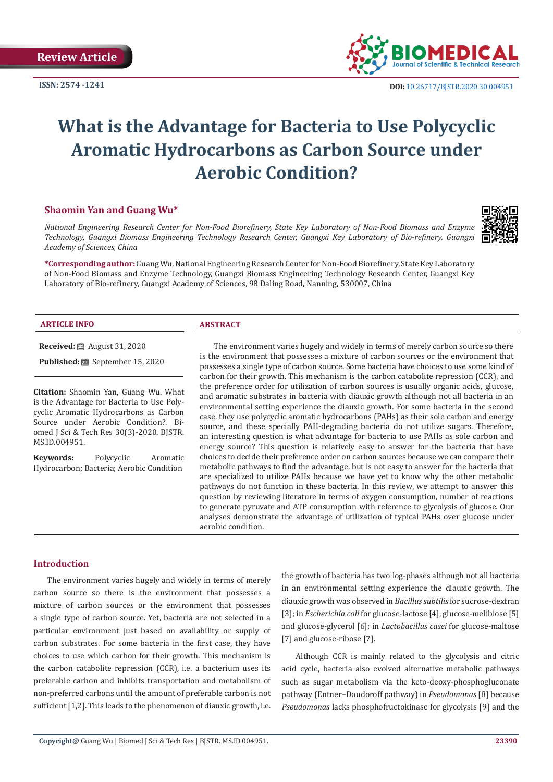**ISSN: 2574 -1241**



# **What is the Advantage for Bacteria to Use Polycyclic Aromatic Hydrocarbons as Carbon Source under Aerobic Condition?**

# **Shaomin Yan and Guang Wu\***

*National Engineering Research Center for Non-Food Biorefinery, State Key Laboratory of Non-Food Biomass and Enzyme Technology, Guangxi Biomass Engineering Technology Research Center, Guangxi Key Laboratory of Bio-refinery, Guangxi Academy of Sciences, China*

**\*Corresponding author:** Guang Wu, National Engineering Research Center for Non-Food Biorefinery, State Key Laboratory of Non-Food Biomass and Enzyme Technology, Guangxi Biomass Engineering Technology Research Center, Guangxi Key Laboratory of Bio-refinery, Guangxi Academy of Sciences, 98 Daling Road, Nanning, 530007, China

#### **ARTICLE INFO ABSTRACT**

**Received:** August 31, 2020

**Published:** <sup>■</sup> September 15, 2020

**Citation:** Shaomin Yan, Guang Wu. What is the Advantage for Bacteria to Use Polycyclic Aromatic Hydrocarbons as Carbon Source under Aerobic Condition?. Biomed J Sci & Tech Res 30(3)-2020. BJSTR. MS.ID.004951.

**Keywords:** Polycyclic Aromatic Hydrocarbon; Bacteria; Aerobic Condition

The environment varies hugely and widely in terms of merely carbon source so there is the environment that possesses a mixture of carbon sources or the environment that possesses a single type of carbon source. Some bacteria have choices to use some kind of carbon for their growth. This mechanism is the carbon catabolite repression (CCR), and the preference order for utilization of carbon sources is usually organic acids, glucose, and aromatic substrates in bacteria with diauxic growth although not all bacteria in an environmental setting experience the diauxic growth. For some bacteria in the second case, they use polycyclic aromatic hydrocarbons (PAHs) as their sole carbon and energy source, and these specially PAH-degrading bacteria do not utilize sugars. Therefore, an interesting question is what advantage for bacteria to use PAHs as sole carbon and energy source? This question is relatively easy to answer for the bacteria that have choices to decide their preference order on carbon sources because we can compare their metabolic pathways to find the advantage, but is not easy to answer for the bacteria that are specialized to utilize PAHs because we have yet to know why the other metabolic pathways do not function in these bacteria. In this review, we attempt to answer this question by reviewing literature in terms of oxygen consumption, number of reactions to generate pyruvate and ATP consumption with reference to glycolysis of glucose. Our analyses demonstrate the advantage of utilization of typical PAHs over glucose under aerobic condition.

# **Introduction**

The environment varies hugely and widely in terms of merely carbon source so there is the environment that possesses a mixture of carbon sources or the environment that possesses a single type of carbon source. Yet, bacteria are not selected in a particular environment just based on availability or supply of carbon substrates. For some bacteria in the first case, they have choices to use which carbon for their growth. This mechanism is the carbon catabolite repression (CCR), i.e. a bacterium uses its preferable carbon and inhibits transportation and metabolism of non-preferred carbons until the amount of preferable carbon is not sufficient [1,2]. This leads to the phenomenon of diauxic growth, i.e.

the growth of bacteria has two log-phases although not all bacteria in an environmental setting experience the diauxic growth. The diauxic growth was observed in *Bacillus subtilis* for sucrose-dextran [3]; in *Escherichia coli* for glucose-lactose [4], glucose-melibiose [5] and glucose-glycerol [6]; in *Lactobacillus casei* for glucose-maltose [7] and glucose-ribose [7].

Although CCR is mainly related to the glycolysis and citric acid cycle, bacteria also evolved alternative metabolic pathways such as sugar metabolism via the keto-deoxy-phosphogluconate pathway (Entner–Doudoroff pathway) in *Pseudomonas* [8] because *Pseudomonas* lacks phosphofructokinase for glycolysis [9] and the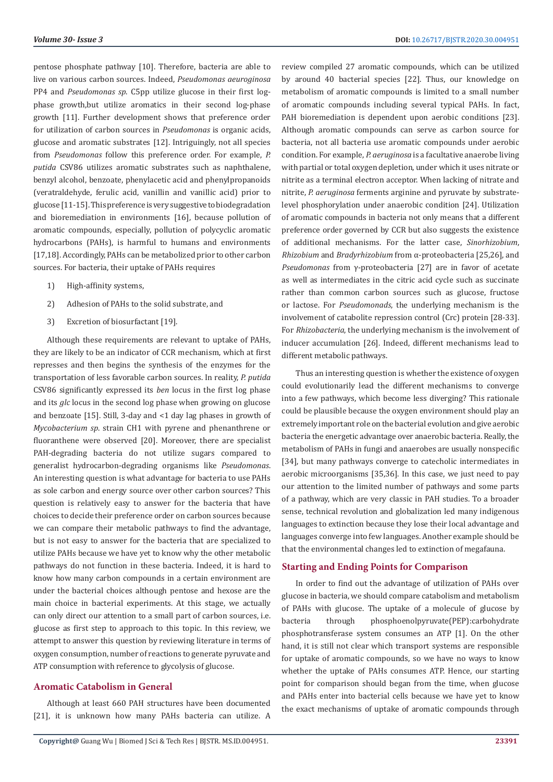pentose phosphate pathway [10]. Therefore, bacteria are able to live on various carbon sources. Indeed, *Pseudomonas aeuroginosa* PP4 and *Pseudomonas sp*. C5pp utilize glucose in their first logphase growth,but utilize aromatics in their second log-phase growth [11]. Further development shows that preference order for utilization of carbon sources in *Pseudomonas* is organic acids, glucose and aromatic substrates [12]. Intriguingly, not all species from *Pseudomonas* follow this preference order. For example, *P. putida* CSV86 utilizes aromatic substrates such as naphthalene, benzyl alcohol, benzoate, phenylacetic acid and phenylpropanoids (veratraldehyde, ferulic acid, vanillin and vanillic acid) prior to glucose [11-15]. This preference is very suggestive to biodegradation and bioremediation in environments [16], because pollution of aromatic compounds, especially, pollution of polycyclic aromatic hydrocarbons (PAHs), is harmful to humans and environments [17,18]. Accordingly, PAHs can be metabolized prior to other carbon sources. For bacteria, their uptake of PAHs requires

- 1) High-affinity systems,
- 2) Adhesion of PAHs to the solid substrate, and
- 3) Excretion of biosurfactant [19].

Although these requirements are relevant to uptake of PAHs, they are likely to be an indicator of CCR mechanism, which at first represses and then begins the synthesis of the enzymes for the transportation of less favorable carbon sources. In reality, *P. putida* CSV86 significantly expressed its *ben* locus in the first log phase and its *glc* locus in the second log phase when growing on glucose and benzoate [15]. Still, 3-day and <1 day lag phases in growth of *Mycobacterium sp*. strain CH1 with pyrene and phenanthrene or fluoranthene were observed [20]. Moreover, there are specialist PAH-degrading bacteria do not utilize sugars compared to generalist hydrocarbon-degrading organisms like *Pseudomonas*. An interesting question is what advantage for bacteria to use PAHs as sole carbon and energy source over other carbon sources? This question is relatively easy to answer for the bacteria that have choices to decide their preference order on carbon sources because we can compare their metabolic pathways to find the advantage, but is not easy to answer for the bacteria that are specialized to utilize PAHs because we have yet to know why the other metabolic pathways do not function in these bacteria. Indeed, it is hard to know how many carbon compounds in a certain environment are under the bacterial choices although pentose and hexose are the main choice in bacterial experiments. At this stage, we actually can only direct our attention to a small part of carbon sources, i.e. glucose as first step to approach to this topic. In this review, we attempt to answer this question by reviewing literature in terms of oxygen consumption, number of reactions to generate pyruvate and ATP consumption with reference to glycolysis of glucose.

# **Aromatic Catabolism in General**

Although at least 660 PAH structures have been documented [21], it is unknown how many PAHs bacteria can utilize. A review compiled 27 aromatic compounds, which can be utilized by around 40 bacterial species [22]. Thus, our knowledge on metabolism of aromatic compounds is limited to a small number of aromatic compounds including several typical PAHs. In fact, PAH bioremediation is dependent upon aerobic conditions [23]. Although aromatic compounds can serve as carbon source for bacteria, not all bacteria use aromatic compounds under aerobic condition. For example, *P. aeruginosa* is a facultative anaerobe living with partial or total oxygen depletion, under which it uses nitrate or nitrite as a terminal electron acceptor. When lacking of nitrate and nitrite, *P. aeruginosa* ferments arginine and pyruvate by substratelevel phosphorylation under anaerobic condition [24]. Utilization of aromatic compounds in bacteria not only means that a different preference order governed by CCR but also suggests the existence of additional mechanisms. For the latter case, *Sinorhizobium*, *Rhizobium* and *Bradyrhizobium* from α-proteobacteria [25,26], and *Pseudomonas* from γ-proteobacteria [27] are in favor of acetate as well as intermediates in the citric acid cycle such as succinate rather than common carbon sources such as glucose, fructose or lactose. For *Pseudomonads*, the underlying mechanism is the involvement of catabolite repression control (Crc) protein [28-33]. For *Rhizobacteria*, the underlying mechanism is the involvement of inducer accumulation [26]. Indeed, different mechanisms lead to different metabolic pathways.

Thus an interesting question is whether the existence of oxygen could evolutionarily lead the different mechanisms to converge into a few pathways, which become less diverging? This rationale could be plausible because the oxygen environment should play an extremely important role on the bacterial evolution and give aerobic bacteria the energetic advantage over anaerobic bacteria. Really, the metabolism of PAHs in fungi and anaerobes are usually nonspecific [34], but many pathways converge to catecholic intermediates in aerobic microorganisms [35,36]. In this case, we just need to pay our attention to the limited number of pathways and some parts of a pathway, which are very classic in PAH studies. To a broader sense, technical revolution and globalization led many indigenous languages to extinction because they lose their local advantage and languages converge into few languages. Another example should be that the environmental changes led to extinction of megafauna.

#### **Starting and Ending Points for Comparison**

In order to find out the advantage of utilization of PAHs over glucose in bacteria, we should compare catabolism and metabolism of PAHs with glucose. The uptake of a molecule of glucose by bacteria through phosphoenolpyruvate(PEP):carbohydrate phosphotransferase system consumes an ATP [1]. On the other hand, it is still not clear which transport systems are responsible for uptake of aromatic compounds, so we have no ways to know whether the uptake of PAHs consumes ATP. Hence, our starting point for comparison should began from the time, when glucose and PAHs enter into bacterial cells because we have yet to know the exact mechanisms of uptake of aromatic compounds through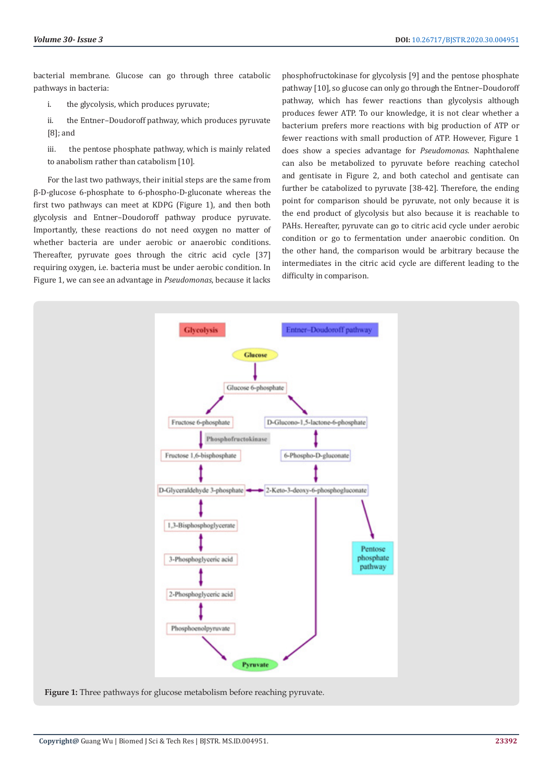bacterial membrane. Glucose can go through three catabolic pathways in bacteria:

- i. the glycolysis, which produces pyruvate;
- ii. the Entner–Doudoroff pathway, which produces pyruvate [8]; and
- iii. the pentose phosphate pathway, which is mainly related to anabolism rather than catabolism [10].

For the last two pathways, their initial steps are the same from β-D-glucose 6-phosphate to 6-phospho-D-gluconate whereas the first two pathways can meet at KDPG (Figure 1), and then both glycolysis and Entner–Doudoroff pathway produce pyruvate. Importantly, these reactions do not need oxygen no matter of whether bacteria are under aerobic or anaerobic conditions. Thereafter, pyruvate goes through the citric acid cycle [37] requiring oxygen, i.e. bacteria must be under aerobic condition. In Figure 1, we can see an advantage in *Pseudomonas*, because it lacks phosphofructokinase for glycolysis [9] and the pentose phosphate pathway [10], so glucose can only go through the Entner–Doudoroff pathway, which has fewer reactions than glycolysis although produces fewer ATP. To our knowledge, it is not clear whether a bacterium prefers more reactions with big production of ATP or fewer reactions with small production of ATP. However, Figure 1 does show a species advantage for *Pseudomonas*. Naphthalene can also be metabolized to pyruvate before reaching catechol and gentisate in Figure 2, and both catechol and gentisate can further be catabolized to pyruvate [38-42]. Therefore, the ending point for comparison should be pyruvate, not only because it is the end product of glycolysis but also because it is reachable to PAHs. Hereafter, pyruvate can go to citric acid cycle under aerobic condition or go to fermentation under anaerobic condition. On the other hand, the comparison would be arbitrary because the intermediates in the citric acid cycle are different leading to the difficulty in comparison.



**Figure 1:** Three pathways for glucose metabolism before reaching pyruvate.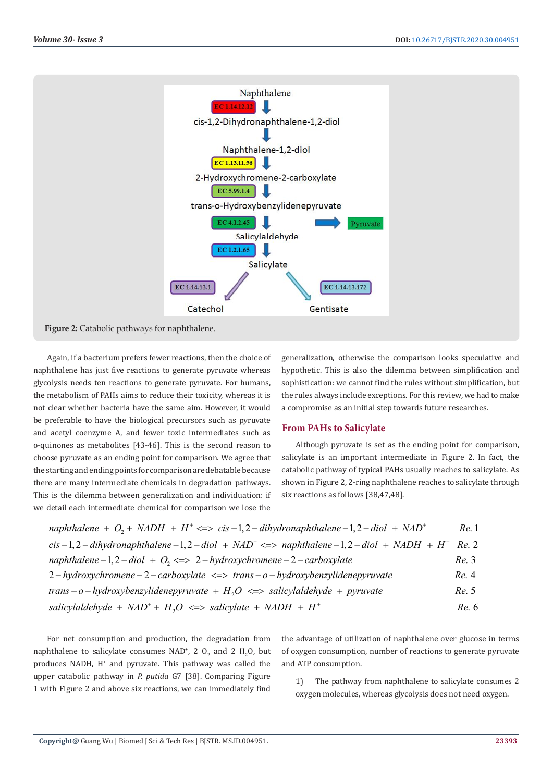

Again, if a bacterium prefers fewer reactions, then the choice of naphthalene has just five reactions to generate pyruvate whereas glycolysis needs ten reactions to generate pyruvate. For humans, the metabolism of PAHs aims to reduce their toxicity, whereas it is not clear whether bacteria have the same aim. However, it would be preferable to have the biological precursors such as pyruvate and acetyl coenzyme A, and fewer toxic intermediates such as o-quinones as metabolites [43-46]. This is the second reason to choose pyruvate as an ending point for comparison. We agree that the starting and ending points for comparison are debatable because there are many intermediate chemicals in degradation pathways. This is the dilemma between generalization and individuation: if we detail each intermediate chemical for comparison we lose the

generalization, otherwise the comparison looks speculative and hypothetic. This is also the dilemma between simplification and sophistication: we cannot find the rules without simplification, but the rules always include exceptions. For this review, we had to make a compromise as an initial step towards future researches.

# **From PAHs to Salicylate**

Although pyruvate is set as the ending point for comparison, salicylate is an important intermediate in Figure 2. In fact, the catabolic pathway of typical PAHs usually reaches to salicylate. As shown in Figure 2, 2-ring naphthalene reaches to salicylate through six reactions as follows [38,47,48].

| naphthalene + $O_2$ + NADH + H <sup>+</sup> <=> cis-1,2-dihydronaphthalene-1,2-diol + NAD <sup>+</sup>                                         | Re. 1 |
|------------------------------------------------------------------------------------------------------------------------------------------------|-------|
| cis $-1$ , $2$ – dihydronaphthalene $-1$ , $2$ – diol $+$ NAD <sup>+</sup> <=> naphthalene $-1$ , $2$ – diol $+$ NADH $+$ H <sup>+</sup> Re. 2 |       |
| naphthalene $-1, 2-diol + O_2 \leq 2-hydroxychromene - 2-carboxylate$                                                                          | Re.3  |
| $2-hydroxychromene-2-carboxylate \iff trans-o-hydroxybenzylidene pyruvate$                                                                     | Re. 4 |
| trans - o - hydroxybenzylidenepyruvate + $H_2O \le$ > salicylaldehyde + pyruvate                                                               | Re. 5 |
| salicylaldehyde + $NAD^+ + H2O \iff$ salicylate + $NADH + H^+$                                                                                 | Re. 6 |

For net consumption and production, the degradation from naphthalene to salicylate consumes NAD<sup>+</sup>, 2  $O_2$  and 2  $H_2O$ , but produces NADH, H<sup>+</sup> and pyruvate. This pathway was called the upper catabolic pathway in *P. putida* G7 [38]. Comparing Figure 1 with Figure 2 and above six reactions, we can immediately find

the advantage of utilization of naphthalene over glucose in terms of oxygen consumption, number of reactions to generate pyruvate and ATP consumption.

1) The pathway from naphthalene to salicylate consumes 2 oxygen molecules, whereas glycolysis does not need oxygen.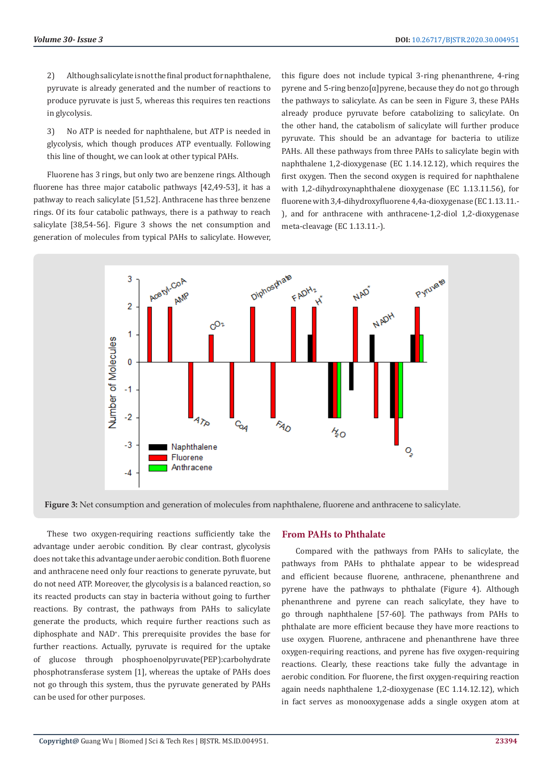2) Although salicylate is not the final product for naphthalene, pyruvate is already generated and the number of reactions to produce pyruvate is just 5, whereas this requires ten reactions in glycolysis.

3) No ATP is needed for naphthalene, but ATP is needed in glycolysis, which though produces ATP eventually. Following this line of thought, we can look at other typical PAHs.

Fluorene has 3 rings, but only two are benzene rings. Although fluorene has three major catabolic pathways [42,49-53], it has a pathway to reach salicylate [51,52]. Anthracene has three benzene rings. Of its four catabolic pathways, there is a pathway to reach salicylate [38,54-56]. Figure 3 shows the net consumption and generation of molecules from typical PAHs to salicylate. However,

this figure does not include typical 3-ring phenanthrene, 4-ring pyrene and 5-ring benzo[α]pyrene, because they do not go through the pathways to salicylate. As can be seen in Figure 3, these PAHs already produce pyruvate before catabolizing to salicylate. On the other hand, the catabolism of salicylate will further produce pyruvate. This should be an advantage for bacteria to utilize PAHs. All these pathways from three PAHs to salicylate begin with naphthalene 1,2-dioxygenase (EC 1.14.12.12), which requires the first oxygen. Then the second oxygen is required for naphthalene with 1,2-dihydroxynaphthalene dioxygenase (EC 1.13.11.56), for fluorene with 3,4-dihydroxyfluorene 4,4a-dioxygenase (EC 1.13.11.- ), and for anthracene with anthracene-1,2-diol 1,2-dioxygenase meta-cleavage (EC 1.13.11.-).



**Figure 3:** Net consumption and generation of molecules from naphthalene, fluorene and anthracene to salicylate.

These two oxygen-requiring reactions sufficiently take the advantage under aerobic condition. By clear contrast, glycolysis does not take this advantage under aerobic condition. Both fluorene and anthracene need only four reactions to generate pyruvate, but do not need ATP. Moreover, the glycolysis is a balanced reaction, so its reacted products can stay in bacteria without going to further reactions. By contrast, the pathways from PAHs to salicylate generate the products, which require further reactions such as diphosphate and NAD<sup>+</sup> . This prerequisite provides the base for further reactions. Actually, pyruvate is required for the uptake of glucose through phosphoenolpyruvate(PEP):carbohydrate phosphotransferase system [1], whereas the uptake of PAHs does not go through this system, thus the pyruvate generated by PAHs can be used for other purposes.

#### **From PAHs to Phthalate**

Compared with the pathways from PAHs to salicylate, the pathways from PAHs to phthalate appear to be widespread and efficient because fluorene, anthracene, phenanthrene and pyrene have the pathways to phthalate (Figure 4). Although phenanthrene and pyrene can reach salicylate, they have to go through naphthalene [57-60]. The pathways from PAHs to phthalate are more efficient because they have more reactions to use oxygen. Fluorene, anthracene and phenanthrene have three oxygen-requiring reactions, and pyrene has five oxygen-requiring reactions. Clearly, these reactions take fully the advantage in aerobic condition. For fluorene, the first oxygen-requiring reaction again needs naphthalene 1,2-dioxygenase (EC 1.14.12.12), which in fact serves as monooxygenase adds a single oxygen atom at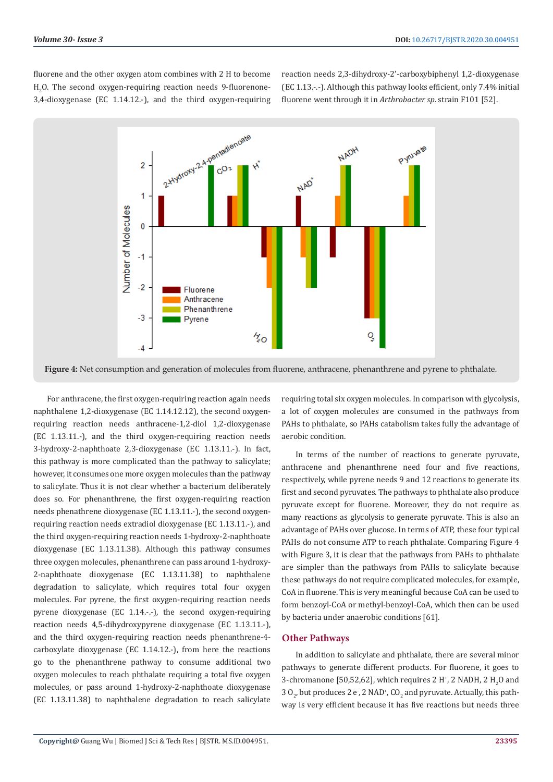fluorene and the other oxygen atom combines with 2 H to become  $H_2O$ . The second oxygen-requiring reaction needs 9-fluorenone-3,4-dioxygenase (EC 1.14.12.-), and the third oxygen-requiring reaction needs 2,3-dihydroxy-2'-carboxybiphenyl 1,2-dioxygenase (EC 1.13.-.-). Although this pathway looks efficient, only 7.4% initial fluorene went through it in *Arthrobacter sp*. strain F101 [52].



**Figure 4:** Net consumption and generation of molecules from fluorene, anthracene, phenanthrene and pyrene to phthalate.

For anthracene, the first oxygen-requiring reaction again needs naphthalene 1,2-dioxygenase (EC 1.14.12.12), the second oxygenrequiring reaction needs anthracene-1,2-diol 1,2-dioxygenase (EC 1.13.11.-), and the third oxygen-requiring reaction needs 3-hydroxy-2-naphthoate 2,3-dioxygenase (EC 1.13.11.-). In fact, this pathway is more complicated than the pathway to salicylate; however, it consumes one more oxygen molecules than the pathway to salicylate. Thus it is not clear whether a bacterium deliberately does so. For phenanthrene, the first oxygen-requiring reaction needs phenathrene dioxygenase (EC 1.13.11.-), the second oxygenrequiring reaction needs extradiol dioxygenase (EC 1.13.11.-), and the third oxygen-requiring reaction needs 1-hydroxy-2-naphthoate dioxygenase (EC 1.13.11.38). Although this pathway consumes three oxygen molecules, phenanthrene can pass around 1-hydroxy-2-naphthoate dioxygenase (EC 1.13.11.38) to naphthalene degradation to salicylate, which requires total four oxygen molecules. For pyrene, the first oxygen-requiring reaction needs pyrene dioxygenase (EC 1.14.-.-), the second oxygen-requiring reaction needs 4,5-dihydroxypyrene dioxygenase (EC 1.13.11.-), and the third oxygen-requiring reaction needs phenanthrene-4 carboxylate dioxygenase (EC 1.14.12.-), from here the reactions go to the phenanthrene pathway to consume additional two oxygen molecules to reach phthalate requiring a total five oxygen molecules, or pass around 1-hydroxy-2-naphthoate dioxygenase (EC 1.13.11.38) to naphthalene degradation to reach salicylate

requiring total six oxygen molecules. In comparison with glycolysis, a lot of oxygen molecules are consumed in the pathways from PAHs to phthalate, so PAHs catabolism takes fully the advantage of aerobic condition.

In terms of the number of reactions to generate pyruvate, anthracene and phenanthrene need four and five reactions, respectively, while pyrene needs 9 and 12 reactions to generate its first and second pyruvates. The pathways to phthalate also produce pyruvate except for fluorene. Moreover, they do not require as many reactions as glycolysis to generate pyruvate. This is also an advantage of PAHs over glucose. In terms of ATP, these four typical PAHs do not consume ATP to reach phthalate. Comparing Figure 4 with Figure 3, it is clear that the pathways from PAHs to phthalate are simpler than the pathways from PAHs to salicylate because these pathways do not require complicated molecules, for example, CoA in fluorene. This is very meaningful because CoA can be used to form benzoyl-CoA or methyl-benzoyl-CoA, which then can be used by bacteria under anaerobic conditions [61].

# **Other Pathways**

In addition to salicylate and phthalate, there are several minor pathways to generate different products. For fluorene, it goes to 3-chromanone [50,52,62], which requires 2 H<sup>+</sup>, 2 NADH, 2 H<sub>2</sub>O and  $30_{\tiny 2}$ , but produces 2 e , 2 NAD\*, CO $_{\tiny 2}$  and pyruvate. Actually, this pathway is very efficient because it has five reactions but needs three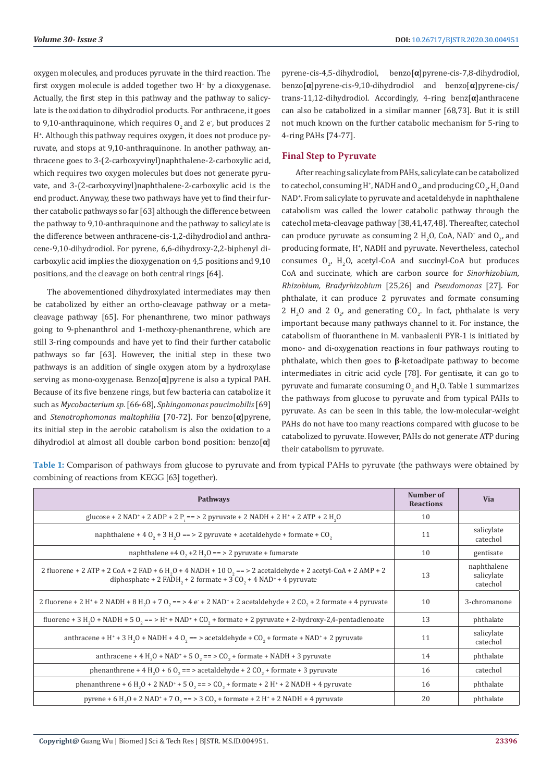oxygen molecules, and produces pyruvate in the third reaction. The first oxygen molecule is added together two H<sup>+</sup> by a dioxygenase. Actually, the first step in this pathway and the pathway to salicylate is the oxidation to dihydrodiol products. For anthracene, it goes to 9,10-anthraquinone, which requires  $0_{\tiny 2}$  and 2 e , but produces 2 H+ . Although this pathway requires oxygen, it does not produce pyruvate, and stops at 9,10-anthraquinone. In another pathway, anthracene goes to 3-(2-carboxyvinyl)naphthalene-2-carboxylic acid, which requires two oxygen molecules but does not generate pyruvate, and 3-(2-carboxyvinyl)naphthalene-2-carboxylic acid is the end product. Anyway, these two pathways have yet to find their further catabolic pathways so far [63] although the difference between the pathway to 9,10-anthraquinone and the pathway to salicylate is the difference between anthracene-cis-1,2-dihydrodiol and anthracene-9,10-dihydrodiol. For pyrene, 6,6-dihydroxy-2,2-biphenyl dicarboxylic acid implies the dioxygenation on 4,5 positions and 9,10 positions, and the cleavage on both central rings [64].

The abovementioned dihydroxylated intermediates may then be catabolized by either an ortho-cleavage pathway or a metacleavage pathway [65]. For phenanthrene, two minor pathways going to 9-phenanthrol and 1-methoxy-phenanthrene, which are still 3-ring compounds and have yet to find their further catabolic pathways so far [63]. However, the initial step in these two pathways is an addition of single oxygen atom by a hydroxylase serving as mono-oxygenase. Benzo[**α**]pyrene is also a typical PAH. Because of its five benzene rings, but few bacteria can catabolize it such as *Mycobacterium sp.* [66-68], *Sphingomonas paucimobilis* [69] and *Stenotrophomonas maltophilia* [70-72]. For benzo[**α**]pyrene, its initial step in the aerobic catabolism is also the oxidation to a dihydrodiol at almost all double carbon bond position: benzo[**α**]

pyrene-cis-4,5-dihydrodiol, benzo[**α**]pyrene-cis-7,8-dihydrodiol, benzo[**α**]pyrene-cis-9,10-dihydrodiol and benzo[**α**]pyrene-cis/ trans-11,12-dihydrodiol. Accordingly, 4-ring benz[**α**]anthracene can also be catabolized in a similar manner [68,73]. But it is still not much known on the further catabolic mechanism for 5-ring to 4-ring PAHs [74-77].

# **Final Step to Pyruvate**

After reaching salicylate from PAHs, salicylate can be catabolized to catechol, consuming H<sup>+</sup>, NADH and O<sub>2</sub>, and producing CO<sub>2</sub>, H<sub>2</sub>O and NAD<sup>+</sup> . From salicylate to pyruvate and acetaldehyde in naphthalene catabolism was called the lower catabolic pathway through the catechol meta-cleavage pathway [38,41,47,48]. Thereafter, catechol can produce pyruvate as consuming 2  $H_2O$ , CoA, NAD<sup>+</sup> and  $O_2$ , and producing formate, H<sup>+</sup> , NADH and pyruvate. Nevertheless, catechol consumes  $O_2$ ,  $H_2O$ , acetyl-CoA and succinyl-CoA but produces CoA and succinate, which are carbon source for *Sinorhizobium, Rhizobium, Bradyrhizobium* [25,26] and *Pseudomonas* [27]. For phthalate, it can produce 2 pyruvates and formate consuming 2  $H_2O$  and 2  $O_2$ , and generating  $CO_2$ . In fact, phthalate is very important because many pathways channel to it. For instance, the catabolism of fluoranthene in M. vanbaalenii PYR-1 is initiated by mono- and di-oxygenation reactions in four pathways routing to phthalate, which then goes to **β**-ketoadipate pathway to become intermediates in citric acid cycle [78]. For gentisate, it can go to pyruvate and fumarate consuming  $\mathsf{O}_2$  and  $\mathsf{H}_2\mathsf{O}.$  Table 1 summarizes the pathways from glucose to pyruvate and from typical PAHs to pyruvate. As can be seen in this table, the low-molecular-weight PAHs do not have too many reactions compared with glucose to be catabolized to pyruvate. However, PAHs do not generate ATP during their catabolism to pyruvate.

**Table 1:** Comparison of pathways from glucose to pyruvate and from typical PAHs to pyruvate (the pathways were obtained by combining of reactions from KEGG [63] together).

| <b>Pathways</b>                                                                                                                                                                                                                             | Number of<br><b>Reactions</b> | <b>Via</b>                            |
|---------------------------------------------------------------------------------------------------------------------------------------------------------------------------------------------------------------------------------------------|-------------------------------|---------------------------------------|
| glucose + 2 NAD <sup>+</sup> + 2 ADP + 2 P <sub>i</sub> = = > 2 pyruvate + 2 NADH + 2 H <sup>+</sup> + 2 ATP + 2 H <sub>2</sub> O                                                                                                           | 10                            |                                       |
| naphthalene + 4 $0, +3$ H <sub>2</sub> O = = > 2 pyruvate + acetaldehyde + formate + CO <sub>2</sub>                                                                                                                                        | 11                            | salicylate<br>catechol                |
| naphthalene +4 $0, +2$ H <sub>2</sub> $0 ==$ > 2 pyruvate + fumarate                                                                                                                                                                        | 10                            | gentisate                             |
| 2 fluorene + 2 ATP + 2 CoA + 2 FAD + 6 H <sub>2</sub> O + 4 NADH + 10 O <sub>2</sub> = $>$ 2 acetaldehyde + 2 acetyl-CoA + 2 AMP + 2<br>diphosphate + 2 FADH <sub>2</sub> + 2 formate + 3 CO <sub>2</sub> + 4 NAD <sup>+</sup> + 4 pyruvate | 13                            | naphthalene<br>salicylate<br>catechol |
| 2 fluorene + 2 H <sup>+</sup> + 2 NADH + 8 H <sub>2</sub> O + 7 O <sub>2</sub> = = > 4 e <sup>+</sup> + 2 NAD <sup>+</sup> + 2 acetaldehyde + 2 CO <sub>2</sub> + 2 formate + 4 pyruvate                                                    | 10                            | 3-chromanone                          |
| fluorene + 3 H <sub>2</sub> O + NADH + 5 O <sub>2</sub> = = > H <sup>+</sup> + NAD <sup>+</sup> + CO <sub>2</sub> + formate + 2 pyruvate + 2-hydroxy-2,4-pentadienoate                                                                      | 13                            | phthalate                             |
| anthracene + H <sup>+</sup> + 3 H <sub>2</sub> O + NADH + 4 O <sub>2</sub> = = > acetaldehyde + CO <sub>2</sub> + formate + NAD <sup>+</sup> + 2 pyruvate                                                                                   | 11                            | salicylate<br>catechol                |
| anthracene + 4 H <sub>2</sub> O + NAD <sup>+</sup> + 5 O <sub>2</sub> = = > CO <sub>2</sub> + formate + NADH + 3 pyruvate                                                                                                                   | 14                            | phthalate                             |
| phenanthrene + 4 H <sub>2</sub> O + 6 O <sub>2</sub> = = > acetaldehyde + 2 CO <sub>2</sub> + formate + 3 pyruvate                                                                                                                          | 16                            | catechol                              |
| phenanthrene + 6 H <sub>2</sub> O + 2 NAD <sup>+</sup> + 5 O <sub>2</sub> = > CO <sub>2</sub> + formate + 2 H <sup>+</sup> + 2 NADH + 4 pyruvate                                                                                            | 16                            | phthalate                             |
| pyrene + 6 H <sub>2</sub> O + 2 NAD <sup>+</sup> + 7 O <sub>2</sub> = = > 3 CO <sub>2</sub> + formate + 2 H <sup>+</sup> + 2 NADH + 4 pyruvate                                                                                              | 20                            | phthalate                             |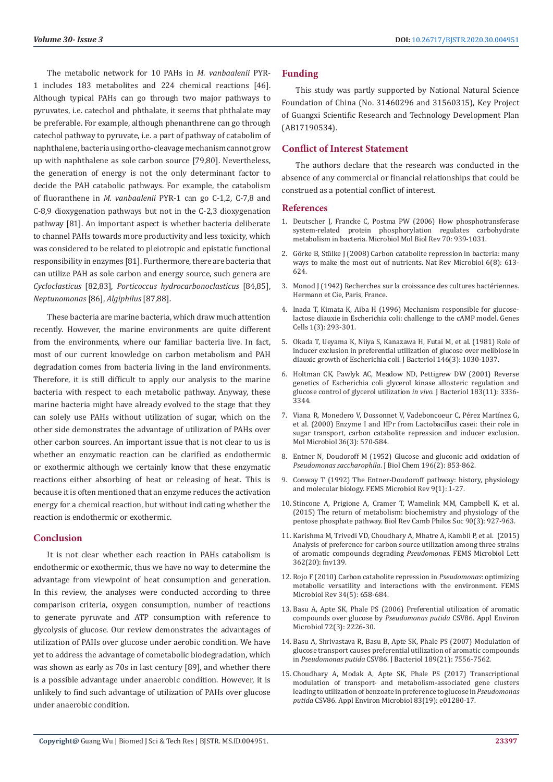The metabolic network for 10 PAHs in *M. vanbaalenii* PYR-1 includes 183 metabolites and 224 chemical reactions [46]. Although typical PAHs can go through two major pathways to pyruvates, i.e. catechol and phthalate, it seems that phthalate may be preferable. For example, although phenanthrene can go through catechol pathway to pyruvate, i.e. a part of pathway of catabolim of naphthalene, bacteria using ortho-cleavage mechanism cannot grow up with naphthalene as sole carbon source [79,80]. Nevertheless, the generation of energy is not the only determinant factor to decide the PAH catabolic pathways. For example, the catabolism of fluoranthene in *M. vanbaalenii* PYR-1 can go C-1,2, C-7,8 and C-8,9 dioxygenation pathways but not in the C-2,3 dioxygenation pathway [81]. An important aspect is whether bacteria deliberate to channel PAHs towards more productivity and less toxicity, which was considered to be related to pleiotropic and epistatic functional responsibility in enzymes [81]. Furthermore, there are bacteria that can utilize PAH as sole carbon and energy source, such genera are *Cycloclasticus* [82,83], *Porticoccus hydrocarbonoclasticus* [84,85], *Neptunomonas* [86], *Algiphilus* [87,88].

These bacteria are marine bacteria, which draw much attention recently. However, the marine environments are quite different from the environments, where our familiar bacteria live. In fact, most of our current knowledge on carbon metabolism and PAH degradation comes from bacteria living in the land environments. Therefore, it is still difficult to apply our analysis to the marine bacteria with respect to each metabolic pathway. Anyway, these marine bacteria might have already evolved to the stage that they can solely use PAHs without utilization of sugar, which on the other side demonstrates the advantage of utilization of PAHs over other carbon sources. An important issue that is not clear to us is whether an enzymatic reaction can be clarified as endothermic or exothermic although we certainly know that these enzymatic reactions either absorbing of heat or releasing of heat. This is because it is often mentioned that an enzyme reduces the activation energy for a chemical reaction, but without indicating whether the reaction is endothermic or exothermic.

# **Conclusion**

It is not clear whether each reaction in PAHs catabolism is endothermic or exothermic, thus we have no way to determine the advantage from viewpoint of heat consumption and generation. In this review, the analyses were conducted according to three comparison criteria, oxygen consumption, number of reactions to generate pyruvate and ATP consumption with reference to glycolysis of glucose. Our review demonstrates the advantages of utilization of PAHs over glucose under aerobic condition. We have yet to address the advantage of cometabolic biodegradation, which was shown as early as 70s in last century [89], and whether there is a possible advantage under anaerobic condition. However, it is unlikely to find such advantage of utilization of PAHs over glucose under anaerobic condition.

#### **Funding**

This study was partly supported by National Natural Science Foundation of China (No. 31460296 and 31560315), Key Project of Guangxi Scientific Research and Technology Development Plan (AB17190534).

### **Conflict of Interest Statement**

The authors declare that the research was conducted in the absence of any commercial or financial relationships that could be construed as a potential conflict of interest.

#### **References**

- 1. [Deutscher J, Francke C, Postma PW \(2006\) How phosphotransferase](https://mmbr.asm.org/content/70/4/939) [system-related protein phosphorylation regulates carbohydrate](https://mmbr.asm.org/content/70/4/939) [metabolism in bacteria. Microbiol Mol Biol Rev 70: 939-1031.](https://mmbr.asm.org/content/70/4/939)
- 2. [Görke B, Stülke J \(2008\) Carbon catabolite repression in bacteria: many](https://pubmed.ncbi.nlm.nih.gov/18628769/) [ways to make the most out of nutrients. Nat Rev Microbiol 6\(8\): 613-](https://pubmed.ncbi.nlm.nih.gov/18628769/) [624.](https://pubmed.ncbi.nlm.nih.gov/18628769/)
- 3. Monod J (1942) Recherches sur la croissance des cultures bactériennes. Hermann et Cie, Paris, France.
- 4. [Inada T, Kimata K, Aiba H \(1996\) Mechanism responsible for glucose](https://pubmed.ncbi.nlm.nih.gov/9133663/)[lactose diauxie in Escherichia coli: challenge to the cAMP model. Genes](https://pubmed.ncbi.nlm.nih.gov/9133663/) [Cells 1\(3\): 293-301.](https://pubmed.ncbi.nlm.nih.gov/9133663/)
- 5. [Okada T, Ueyama K, Niiya S, Kanazawa H, Futai M, et al. \(1981\) Role of](https://europepmc.org/article/pmc/pmc216957) [inducer exclusion in preferential utilization of glucose over melibiose in](https://europepmc.org/article/pmc/pmc216957) [diauxic growth of Escherichia coli. J Bacteriol 146\(3\): 1030-1037.](https://europepmc.org/article/pmc/pmc216957)
- 6. [Holtman CK, Pawlyk AC, Meadow ND, Pettigrew DW \(2001\) Reverse](https://pubmed.ncbi.nlm.nih.gov/11344141/) [genetics of Escherichia coli glycerol kinase allosteric regulation and](https://pubmed.ncbi.nlm.nih.gov/11344141/) [glucose control of glycerol utilization](https://pubmed.ncbi.nlm.nih.gov/11344141/) *in vivo*. J Bacteriol 183(11): 3336- [3344.](https://pubmed.ncbi.nlm.nih.gov/11344141/)
- 7. [Viana R, Monedero V, Dossonnet V, Vadeboncoeur C, Pérez Martínez G,](https://pubmed.ncbi.nlm.nih.gov/10844647/) [et al. \(2000\) Enzyme I and HPr from Lactobacillus casei: their role in](https://pubmed.ncbi.nlm.nih.gov/10844647/) [sugar transport, carbon catabolite repression and inducer exclusion.](https://pubmed.ncbi.nlm.nih.gov/10844647/) [Mol Microbiol 36\(3\): 570-584.](https://pubmed.ncbi.nlm.nih.gov/10844647/)
- 8. [Entner N, Doudoroff M \(1952\) Glucose and gluconic acid oxidation of](https://pubmed.ncbi.nlm.nih.gov/12981024/) *[Pseudomonas saccharophila](https://pubmed.ncbi.nlm.nih.gov/12981024/)*. J Biol Chem 196(2): 853-862.
- 9. [Conway T \(1992\) The Entner-Doudoroff pathway: history, physiology](https://pubmed.ncbi.nlm.nih.gov/1389313/) [and molecular biology. FEMS Microbiol Rev 9\(1\): 1-27.](https://pubmed.ncbi.nlm.nih.gov/1389313/)
- 10. [Stincone A, Prigione A, Cramer T, Wamelink MM, Campbell K, et al.](https://www.ncbi.nlm.nih.gov/pmc/articles/PMC4470864/) [\(2015\) The return of metabolism: biochemistry and physiology of the](https://www.ncbi.nlm.nih.gov/pmc/articles/PMC4470864/) [pentose phosphate pathway. Biol Rev Camb Philos Soc 90\(3\): 927-963.](https://www.ncbi.nlm.nih.gov/pmc/articles/PMC4470864/)
- 11. [Karishma M, Trivedi VD, Choudhary A, Mhatre A, Kambli P, et al. \(2015\)](https://pubmed.ncbi.nlm.nih.gov/26316546/) [Analysis of preference for carbon source utilization among three strains](https://pubmed.ncbi.nlm.nih.gov/26316546/) [of aromatic compounds degrading](https://pubmed.ncbi.nlm.nih.gov/26316546/) *Pseudomonas*. FEMS Microbiol Lett [362\(20\): fnv139.](https://pubmed.ncbi.nlm.nih.gov/26316546/)
- 12. [Rojo F \(2010\) Carbon catabolite repression in](https://pubmed.ncbi.nlm.nih.gov/20412307/) *Pseudomonas*: optimizing [metabolic versatility and interactions with the environment. FEMS](https://pubmed.ncbi.nlm.nih.gov/20412307/) [Microbiol Rev 34\(5\): 658-684.](https://pubmed.ncbi.nlm.nih.gov/20412307/)
- 13. [Basu A, Apte SK, Phale PS \(2006\) Preferential utilization of aromatic](https://www.ncbi.nlm.nih.gov/pmc/articles/PMC1393237/) [compounds over glucose by](https://www.ncbi.nlm.nih.gov/pmc/articles/PMC1393237/) *Pseudomonas putida* CSV86. Appl Environ [Microbiol 72\(3\): 2226-30.](https://www.ncbi.nlm.nih.gov/pmc/articles/PMC1393237/)
- 14. [Basu A, Shrivastava R, Basu B, Apte SK, Phale PS \(2007\) Modulation of](https://www.ncbi.nlm.nih.gov/pmc/articles/PMC2168731/) [glucose transport causes preferential utilization of aromatic compounds](https://www.ncbi.nlm.nih.gov/pmc/articles/PMC2168731/) in *Pseudomonas putida* [CSV86. J Bacteriol 189\(21\): 7556-7562.](https://www.ncbi.nlm.nih.gov/pmc/articles/PMC2168731/)
- 15. [Choudhary A, Modak A, Apte SK, Phale PS \(2017\) Transcriptional](https://pubmed.ncbi.nlm.nih.gov/28733285/) [modulation of transport- and metabolism-associated gene clusters](https://pubmed.ncbi.nlm.nih.gov/28733285/) [leading to utilization of benzoate in preference to glucose in](https://pubmed.ncbi.nlm.nih.gov/28733285/) *Pseudomonas putida* [CSV86. Appl Environ Microbiol 83\(19\): e01280-17.](https://pubmed.ncbi.nlm.nih.gov/28733285/)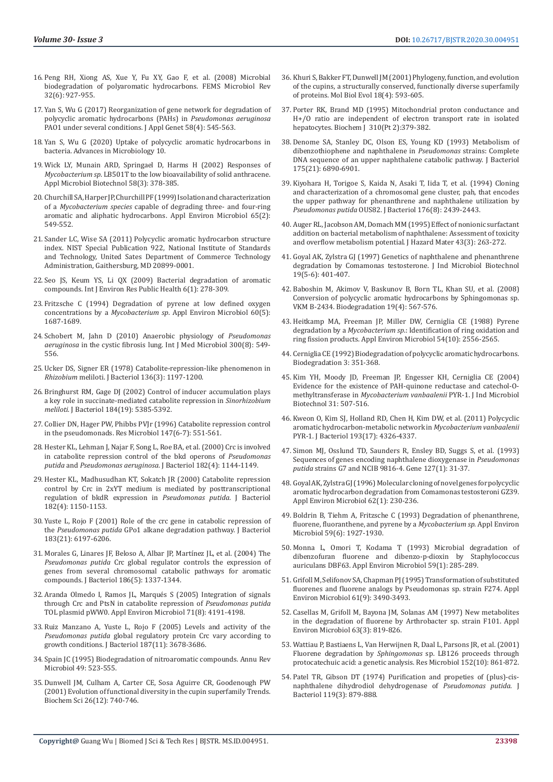- 16. [Peng RH, Xiong AS, Xue Y, Fu XY, Gao F, et al. \(2008\) Microbial](https://pubmed.ncbi.nlm.nih.gov/18662317/)  [biodegradation of polyaromatic hydrocarbons. FEMS Microbiol Rev](https://pubmed.ncbi.nlm.nih.gov/18662317/)  [32\(6\): 927-955.](https://pubmed.ncbi.nlm.nih.gov/18662317/)
- 17. [Yan S, Wu G \(2017\) Reorganization of gene network for degradation of](https://www.ncbi.nlm.nih.gov/pmc/articles/PMC5655620/)  [polycyclic aromatic hydrocarbons \(PAHs\) in](https://www.ncbi.nlm.nih.gov/pmc/articles/PMC5655620/) *Pseudomonas aeruginosa* [PAO1 under several conditions. J Appl Genet 58\(4\): 545-563.](https://www.ncbi.nlm.nih.gov/pmc/articles/PMC5655620/)
- 18. Yan S, Wu G (2020) Uptake of polycyclic aromatic hydrocarbons in bacteria. Advances in Microbiology 10.
- 19. [Wick LY, Munain ARD, Springael D, Harms H \(2002\) Responses of](https://pubmed.ncbi.nlm.nih.gov/11935191/)  *Mycobacterium sp*[. LB501T to the low bioavailability of solid anthracene.](https://pubmed.ncbi.nlm.nih.gov/11935191/)  [Appl Microbiol Biotechnol 58\(3\): 378-385.](https://pubmed.ncbi.nlm.nih.gov/11935191/)
- 20. [Churchill SA, Harper JP, Churchill PF \(1999\) Isolation and characterization](https://www.ncbi.nlm.nih.gov/pmc/articles/PMC91060/)  of a *Mycobacterium species* [capable of degrading three- and four-ring](https://www.ncbi.nlm.nih.gov/pmc/articles/PMC91060/)  [aromatic and aliphatic hydrocarbons. Appl Environ Microbiol 65\(2\):](https://www.ncbi.nlm.nih.gov/pmc/articles/PMC91060/)  [549-552.](https://www.ncbi.nlm.nih.gov/pmc/articles/PMC91060/)
- 21. [Sander LC, Wise SA \(2011\) Polycyclic aromatic hydrocarbon structure](https://www.govinfo.gov/content/pkg/GOVPUB-C13-5b60d97e62e50f471199f68208b04838/pdf/GOVPUB-C13-5b60d97e62e50f471199f68208b04838.pdf)  [index. NIST Special Publication 922, National Institute of Standards](https://www.govinfo.gov/content/pkg/GOVPUB-C13-5b60d97e62e50f471199f68208b04838/pdf/GOVPUB-C13-5b60d97e62e50f471199f68208b04838.pdf)  [and Technology, United Sates Department of Commerce Technology](https://www.govinfo.gov/content/pkg/GOVPUB-C13-5b60d97e62e50f471199f68208b04838/pdf/GOVPUB-C13-5b60d97e62e50f471199f68208b04838.pdf)  [Administration, Gaithersburg, MD 20899-0001.](https://www.govinfo.gov/content/pkg/GOVPUB-C13-5b60d97e62e50f471199f68208b04838/pdf/GOVPUB-C13-5b60d97e62e50f471199f68208b04838.pdf)
- 22. [Seo JS, Keum YS, Li QX \(2009\) Bacterial degradation of aromatic](https://www.ncbi.nlm.nih.gov/pmc/articles/PMC2672333/)  [compounds. Int J Environ Res Public Health 6\(1\): 278-309.](https://www.ncbi.nlm.nih.gov/pmc/articles/PMC2672333/)
- 23. [Fritzsche C \(1994\) Degradation of pyrene at low defined oxygen](https://www.ncbi.nlm.nih.gov/pmc/articles/PMC201540/)  concentrations by a *Mycobacterium sp*[. Appl Environ Microbiol 60\(5\):](https://www.ncbi.nlm.nih.gov/pmc/articles/PMC201540/)  [1687-1689.](https://www.ncbi.nlm.nih.gov/pmc/articles/PMC201540/)
- 24. [Schobert M, Jahn D \(2010\) Anaerobic physiology of](https://pubmed.ncbi.nlm.nih.gov/20951638/) *Pseudomonas aeruginosa* [in the cystic fibrosis lung. Int J Med Microbiol 300\(8\): 549-](https://pubmed.ncbi.nlm.nih.gov/20951638/) [556.](https://pubmed.ncbi.nlm.nih.gov/20951638/)
- 25. [Ucker DS, Signer ER \(1978\) Catabolite-repression-like phenomenon in](https://www.ncbi.nlm.nih.gov/pmc/articles/PMC218559/)  *Rhizobium* [meliloti. J Bacteriol 136\(3\): 1197-1200.](https://www.ncbi.nlm.nih.gov/pmc/articles/PMC218559/)
- 26. [Bringhurst RM, Gage DJ \(2002\) Control of inducer accumulation plays](https://www.ncbi.nlm.nih.gov/pmc/articles/PMC135350/)  [a key role in succinate-mediated catabolite repression in](https://www.ncbi.nlm.nih.gov/pmc/articles/PMC135350/) *Sinorhizobium meliloti*[. J Bacteriol 184\(19\): 5385-5392.](https://www.ncbi.nlm.nih.gov/pmc/articles/PMC135350/)
- 27. [Collier DN, Hager PW, Phibbs PVJr \(1996\) Catabolite repression control](https://pubmed.ncbi.nlm.nih.gov/9084769/)  [in the pseudomonads. Res Microbiol 147\(6-7\): 551-561.](https://pubmed.ncbi.nlm.nih.gov/9084769/)
- 28. [Hester KL, Lehman J, Najar F, Song L, Roe BA, et al. \(2000\) Crc is involved](https://pubmed.ncbi.nlm.nih.gov/10648542/)  [in catabolite repression control of the bkd operons of](https://pubmed.ncbi.nlm.nih.gov/10648542/) *Pseudomonas putida* and *Pseudomonas aeruginosa*[. J Bacteriol 182\(4\): 1144-1149.](https://pubmed.ncbi.nlm.nih.gov/10648542/)
- 29. [Hester KL, Madhusudhan KT, Sokatch JR \(2000\) Catabolite repression](https://www.ncbi.nlm.nih.gov/pmc/articles/PMC94393/)  [control by Crc in 2xYT medium is mediated by posttranscriptional](https://www.ncbi.nlm.nih.gov/pmc/articles/PMC94393/)  [regulation of bkdR expression in](https://www.ncbi.nlm.nih.gov/pmc/articles/PMC94393/) *Pseudomonas putida*. J Bacteriol [182\(4\): 1150-1153.](https://www.ncbi.nlm.nih.gov/pmc/articles/PMC94393/)
- 30. [Yuste L, Rojo F \(2001\) Role of the crc gene in catabolic repression of](https://www.ncbi.nlm.nih.gov/pmc/articles/PMC100097/)  the *Pseudomonas putida* [GPo1 alkane degradation pathway. J Bacteriol](https://www.ncbi.nlm.nih.gov/pmc/articles/PMC100097/)  [183\(21\): 6197-6206.](https://www.ncbi.nlm.nih.gov/pmc/articles/PMC100097/)
- 31. [Morales G, Linares JF, Beloso A, Albar JP, Martínez JL, et al. \(2004\) The](https://pubmed.ncbi.nlm.nih.gov/14973036/)  *Pseudomonas putida* [Crc global regulator controls the expression of](https://pubmed.ncbi.nlm.nih.gov/14973036/)  [genes from several chromosomal catabolic pathways for aromatic](https://pubmed.ncbi.nlm.nih.gov/14973036/)  [compounds. J Bacteriol 186\(5\): 1337-1344.](https://pubmed.ncbi.nlm.nih.gov/14973036/)
- 32. [Aranda Olmedo I, Ramos JL, Marqués S \(2005\) Integration of signals](https://www.ncbi.nlm.nih.gov/pmc/articles/PMC1183334/)  [through Crc and PtsN in catabolite repression of](https://www.ncbi.nlm.nih.gov/pmc/articles/PMC1183334/) *Pseudomonas putida* [TOL plasmid pWW0. Appl Environ Microbiol 71\(8\): 4191-4198.](https://www.ncbi.nlm.nih.gov/pmc/articles/PMC1183334/)
- 33. [Ruiz Manzano A, Yuste L, Rojo F \(2005\) Levels and activity of the](https://www.ncbi.nlm.nih.gov/pmc/articles/PMC1112034/)  *Pseudomonas putida* [global regulatory protein Crc vary according to](https://www.ncbi.nlm.nih.gov/pmc/articles/PMC1112034/)  growth conditions. J Bacteriol  $187(11)$ : 3678-3686.
- 34. [Spain JC \(1995\) Biodegradation of nitroaromatic compounds. Annu Rev](https://pubmed.ncbi.nlm.nih.gov/8561470/)  [Microbiol 49: 523-555.](https://pubmed.ncbi.nlm.nih.gov/8561470/)
- 35. [Dunwell JM, Culham A, Carter CE, Sosa Aguirre CR, Goodenough PW](https://pubmed.ncbi.nlm.nih.gov/11738598/)  [\(2001\) Evolution of functional diversity in the cupin superfamily Trends.](https://pubmed.ncbi.nlm.nih.gov/11738598/)  [Biochem Sci 26\(12\): 740-746.](https://pubmed.ncbi.nlm.nih.gov/11738598/)
- 36. [Khuri S, Bakker FT, Dunwell JM \(2001\) Phylogeny, function, and evolution](https://pubmed.ncbi.nlm.nih.gov/11264412/) [of the cupins, a structurally conserved, functionally diverse superfamily](https://pubmed.ncbi.nlm.nih.gov/11264412/) [of proteins. Mol Biol Evol 18\(4\): 593-605.](https://pubmed.ncbi.nlm.nih.gov/11264412/)
- 37. [Porter RK, Brand MD \(1995\) Mitochondrial proton conductance and](https://www.ncbi.nlm.nih.gov/pmc/articles/PMC1135905/) [H+/O ratio are independent of electron transport rate in isolated](https://www.ncbi.nlm.nih.gov/pmc/articles/PMC1135905/) [hepatocytes. Biochem J 310\(Pt 2\):379-382.](https://www.ncbi.nlm.nih.gov/pmc/articles/PMC1135905/)
- 38. [Denome SA, Stanley DC, Olson ES, Young KD \(1993\) Metabolism of](https://pubmed.ncbi.nlm.nih.gov/8226631/) [dibenzothiophene and naphthalene in](https://pubmed.ncbi.nlm.nih.gov/8226631/) *Pseudomonas* strains: Complete [DNA sequence of an upper naphthalene catabolic pathway. J Bacteriol](https://pubmed.ncbi.nlm.nih.gov/8226631/) [175\(21\): 6890-6901.](https://pubmed.ncbi.nlm.nih.gov/8226631/)
- 39. [Kiyohara H, Torigoe S, Kaida N, Asaki T, Iida T, et al. \(1994\) Cloning](https://www.ncbi.nlm.nih.gov/pmc/articles/PMC205370/) [and characterization of a chromosomal gene cluster, pah, that encodes](https://www.ncbi.nlm.nih.gov/pmc/articles/PMC205370/) [the upper pathway for phenanthrene and naphthalene utilization by](https://www.ncbi.nlm.nih.gov/pmc/articles/PMC205370/) *Pseudomonas putida* [OUS82. J Bacteriol 176\(8\): 2439-2443.](https://www.ncbi.nlm.nih.gov/pmc/articles/PMC205370/)
- 40. [Auger RL, Jacobson AM, Domach MM \(1995\) Effect of nonionic surfactant](https://www.sciencedirect.com/science/article/abs/pii/030438949500038V) [addition on bacterial metabolism of naphthalene: Assessment of toxicity](https://www.sciencedirect.com/science/article/abs/pii/030438949500038V) [and overflow metabolism potential. J Hazard Mater 43\(3\): 263-272.](https://www.sciencedirect.com/science/article/abs/pii/030438949500038V)
- 41. [Goyal AK, Zylstra GJ \(1997\) Genetics of naphthalene and phenanthrene](https://pubmed.ncbi.nlm.nih.gov/9451837/) [degradation by Comamonas testosterone. J Ind Microbiol Biotechnol](https://pubmed.ncbi.nlm.nih.gov/9451837/) [19\(5-6\): 401-407.](https://pubmed.ncbi.nlm.nih.gov/9451837/)
- 42. [Baboshin M, Akimov V, Baskunov B, Born TL, Khan SU, et al. \(2008\)](https://pubmed.ncbi.nlm.nih.gov/17957485/) [Conversion of polycyclic aromatic hydrocarbons by Sphingomonas sp.](https://pubmed.ncbi.nlm.nih.gov/17957485/) [VKM B-2434. Biodegradation 19\(4\): 567-576.](https://pubmed.ncbi.nlm.nih.gov/17957485/)
- 43. [Heitkamp MA, Freeman JP, Miller DW, Cerniglia CE \(1988\) Pyrene](https://www.ncbi.nlm.nih.gov/pmc/articles/PMC204314/) degradation by a *Mycobacterium sp*[.: Identification of ring oxidation and](https://www.ncbi.nlm.nih.gov/pmc/articles/PMC204314/) [ring fission products. Appl Environ Microbiol 54\(10\): 2556-2565.](https://www.ncbi.nlm.nih.gov/pmc/articles/PMC204314/)
- 44. [Cerniglia CE \(1992\) Biodegradation of polycyclic aromatic hydrocarbons.](https://link.springer.com/article/10.1007/BF00129093) [Biodegradation 3: 351-368.](https://link.springer.com/article/10.1007/BF00129093)
- 45. [Kim YH, Moody JD, Freeman JP, Engesser KH, Cerniglia CE \(2004\)](https://link.springer.com/article/10.1007/s10295-004-0178-x?shared-article-renderer) [Evidence for the existence of PAH-quinone reductase and catechol-O](https://link.springer.com/article/10.1007/s10295-004-0178-x?shared-article-renderer)methyltransferase in *[Mycobacterium vanbaalenii](https://link.springer.com/article/10.1007/s10295-004-0178-x?shared-article-renderer)* PYR-1. J Ind Microbiol [Biotechnol 31: 507-516.](https://link.springer.com/article/10.1007/s10295-004-0178-x?shared-article-renderer)
- 46. [Kweon O, Kim SJ, Holland RD, Chen H, Kim DW, et al. \(2011\) Polycyclic](https://europepmc.org/article/med/21725022) [aromatic hydrocarbon-metabolic network in](https://europepmc.org/article/med/21725022) *Mycobacterium vanbaalenii* [PYR-1. J Bacteriol 193\(17\): 4326-4337.](https://europepmc.org/article/med/21725022)
- 47. [Simon MJ, Osslund TD, Saunders R, Ensley BD, Suggs S, et al. \(1993\)](https://pubmed.ncbi.nlm.nih.gov/8486285/) [Sequences of genes encoding naphthalene dioxygenase in](https://pubmed.ncbi.nlm.nih.gov/8486285/) *Pseudomonas putida* [strains G7 and NCIB 9816-4. Gene 127\(1\): 31-37.](https://pubmed.ncbi.nlm.nih.gov/8486285/)
- 48. [Goyal AK, Zylstra GJ \(1996\) Molecular cloning of novel genes for polycyclic](https://pubmed.ncbi.nlm.nih.gov/8572701/) [aromatic hydrocarbon degradation from Comamonas testosteroni GZ39.](https://pubmed.ncbi.nlm.nih.gov/8572701/) [Appl Environ Microbiol 62\(1\): 230-236.](https://pubmed.ncbi.nlm.nih.gov/8572701/)
- 49. [Boldrin B, Tiehm A, Fritzsche C \(1993\) Degradation of phenanthrene,](https://www.ncbi.nlm.nih.gov/pmc/articles/PMC182183/) [fluorene, fluoranthene, and pyrene by a](https://www.ncbi.nlm.nih.gov/pmc/articles/PMC182183/) *Mycobacterium sp*. Appl Environ [Microbiol 59\(6\): 1927-1930.](https://www.ncbi.nlm.nih.gov/pmc/articles/PMC182183/)
- 50. [Monna L, Omori T, Kodama T \(1993\) Microbial degradation of](https://pubmed.ncbi.nlm.nih.gov/8439154/) [dibenzofuran fluorene and dibenzo-p-dioxin by Staphylococcus](https://pubmed.ncbi.nlm.nih.gov/8439154/) [auriculans DBF63. Appl Environ Microbiol 59\(1\): 285-289.](https://pubmed.ncbi.nlm.nih.gov/8439154/)
- 51. [Grifoll M, Selifonov SA, Chapman PJ \(1995\) Transformation of substituted](https://www.ncbi.nlm.nih.gov/pmc/articles/PMC1388586/) [fluorenes and fluorene analogs by Pseudomonas sp. strain F274. Appl](https://www.ncbi.nlm.nih.gov/pmc/articles/PMC1388586/) [Environ Microbiol 61\(9\): 3490-3493.](https://www.ncbi.nlm.nih.gov/pmc/articles/PMC1388586/)
- 52. [Casellas M, Grifoll M, Bayona JM, Solanas AM \(1997\) New metabolites](https://www.ncbi.nlm.nih.gov/pmc/articles/PMC168377/) [in the degradation of fluorene by Arthrobacter sp. strain F101. Appl](https://www.ncbi.nlm.nih.gov/pmc/articles/PMC168377/) [Environ Microbiol 63\(3\): 819-826.](https://www.ncbi.nlm.nih.gov/pmc/articles/PMC168377/)
- 53. [Wattiau P, Bastiaens L, Van Herwijnen R, Daal L, Parsons JR, et al. \(2001\)](https://pubmed.ncbi.nlm.nih.gov/11766961/) Fluorene degradation by *Sphingomonas* [sp. LB126 proceeds through](https://pubmed.ncbi.nlm.nih.gov/11766961/) [protocatechuic acid: a genetic analysis. Res Microbiol 152\(10\): 861-872.](https://pubmed.ncbi.nlm.nih.gov/11766961/)
- 54. [Patel TR, Gibson DT \(1974\) Purification and propeties of \(plus\)-cis](https://europepmc.org/article/med/4369091)[naphthalene dihydrodiol dehydrogenase of](https://europepmc.org/article/med/4369091) *Pseudomonas putida*. J [Bacteriol 119\(3\): 879-888.](https://europepmc.org/article/med/4369091)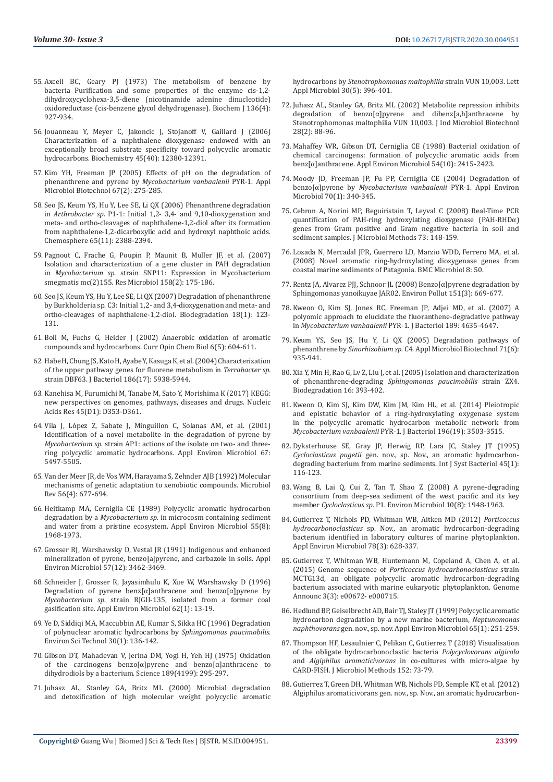- 55. [Axcell BC, Geary PJ \(1973\) The metabolism of benzene by](https://www.ncbi.nlm.nih.gov/pmc/articles/PMC1166042/)  [bacteria Purification and some properties of the enzyme cis-1,2](https://www.ncbi.nlm.nih.gov/pmc/articles/PMC1166042/) [dihydroxycyclohexa-3,5-diene \(nicotinamide adenine dinucleotide\)](https://www.ncbi.nlm.nih.gov/pmc/articles/PMC1166042/)  [oxidoreductase \(cis-benzene glycol dehydrogenase\). Biochem J 136\(4\):](https://www.ncbi.nlm.nih.gov/pmc/articles/PMC1166042/)  [927-934.](https://www.ncbi.nlm.nih.gov/pmc/articles/PMC1166042/)
- 56. [Jouanneau Y, Meyer C, Jakoncic J, Stojanoff V, Gaillard J \(2006\)](https://pubmed.ncbi.nlm.nih.gov/17014090/)  [Characterization of a naphthalene dioxygenase endowed with an](https://pubmed.ncbi.nlm.nih.gov/17014090/)  [exceptionally broad substrate specificity toward polycyclic aromatic](https://pubmed.ncbi.nlm.nih.gov/17014090/)  [hydrocarbons. Biochemistry 45\(40\): 12380-12391.](https://pubmed.ncbi.nlm.nih.gov/17014090/)
- 57. [Kim YH, Freeman JP \(2005\) Effects of pH on the degradation of](https://pubmed.ncbi.nlm.nih.gov/15592827/)  phenanthrene and pyrene by *[Mycobacterium vanbaalenii](https://pubmed.ncbi.nlm.nih.gov/15592827/)* PYR-1. Appl [Microbiol Biotechnol 67\(2\): 275-285.](https://pubmed.ncbi.nlm.nih.gov/15592827/)
- 58. [Seo JS, Keum YS, Hu Y, Lee SE, Li QX \(2006\) Phenanthrene degradation](https://pubmed.ncbi.nlm.nih.gov/16777186/)  in *Arthrobacter sp*[. P1-1: Initial 1,2- 3,4- and 9,10-dioxygenation and](https://pubmed.ncbi.nlm.nih.gov/16777186/)  [meta- and ortho-cleavages of naphthalene-1,2-diol after its formation](https://pubmed.ncbi.nlm.nih.gov/16777186/)  [from naphthalene-1,2-dicarboxylic acid and hydroxyl naphthoic acids.](https://pubmed.ncbi.nlm.nih.gov/16777186/)  [Chemosphere 65\(11\): 2388-2394.](https://pubmed.ncbi.nlm.nih.gov/16777186/)
- 59. [Pagnout C, Frache G, Poupin P, Maunit B, Muller JF, et al. \(2007\)](https://pubmed.ncbi.nlm.nih.gov/17258432/)  [Isolation and characterization of a gene cluster in PAH degradation](https://pubmed.ncbi.nlm.nih.gov/17258432/)  in *Mycobacterium sp*[. strain SNP11: Expression in Mycobacterium](https://pubmed.ncbi.nlm.nih.gov/17258432/)  [smegmatis mc\(2\)155. Res Microbiol 158\(2\): 175-186.](https://pubmed.ncbi.nlm.nih.gov/17258432/)
- 60. [Seo JS, Keum YS, Hu Y, Lee SE, Li QX \(2007\) Degradation of phenanthrene](https://pubmed.ncbi.nlm.nih.gov/16491303/)  [by Burkholderia sp. C3: Initial 1,2- and 3,4-dioxygenation and meta- and](https://pubmed.ncbi.nlm.nih.gov/16491303/)  [ortho-cleavages of naphthalene-1,2-diol. Biodegradation 18\(1\): 123-](https://pubmed.ncbi.nlm.nih.gov/16491303/) [131.](https://pubmed.ncbi.nlm.nih.gov/16491303/)
- 61. [Boll M, Fuchs G, Heider J \(2002\) Anaerobic oxidation of aromatic](https://pubmed.ncbi.nlm.nih.gov/12413544/)  [compounds and hydrocarbons. Curr Opin Chem Biol 6\(5\): 604-611.](https://pubmed.ncbi.nlm.nih.gov/12413544/)
- 62. [Habe H, Chung JS, Kato H, Ayabe Y, Kasuga K, et al. \(2004\) Characterization](https://www.ncbi.nlm.nih.gov/pmc/articles/PMC516849/)  [of the upper pathway genes for fluorene metabolism in](https://www.ncbi.nlm.nih.gov/pmc/articles/PMC516849/) *Terrabacter sp.*  [strain DBF63. J Bacteriol 186\(17\): 5938-5944.](https://www.ncbi.nlm.nih.gov/pmc/articles/PMC516849/)
- 63. [Kanehisa M, Furumichi M, Tanabe M, Sato Y, Morishima K \(2017\) KEGG:](https://pubmed.ncbi.nlm.nih.gov/27899662/)  [new perspectives on genomes, pathways, diseases and drugs. Nucleic](https://pubmed.ncbi.nlm.nih.gov/27899662/)  [Acids Res 45\(D1\): D353-D361.](https://pubmed.ncbi.nlm.nih.gov/27899662/)
- 64. [Vila J, López Z, Sabate J, Minguillon C, Solanas AM, et al. \(2001\)](https://www.ncbi.nlm.nih.gov/pmc/articles/PMC93335/)  [Identification of a novel metabolite in the degradation of pyrene by](https://www.ncbi.nlm.nih.gov/pmc/articles/PMC93335/)  *Mycobacterium sp.* [strain AP1: actions of the isolate on two- and three](https://www.ncbi.nlm.nih.gov/pmc/articles/PMC93335/)[ring polycyclic aromatic hydrocarbons. Appl Environ Microbiol 67:](https://www.ncbi.nlm.nih.gov/pmc/articles/PMC93335/)  [5497-5505.](https://www.ncbi.nlm.nih.gov/pmc/articles/PMC93335/)
- 65. [Van der Meer JR, de Vos WM, Harayama S, Zehnder AJB \(1992\) Molecular](https://pubmed.ncbi.nlm.nih.gov/1480115/)  [mechanisms of genetic adaptation to xenobiotic compounds. Microbiol](https://pubmed.ncbi.nlm.nih.gov/1480115/)  [Rev 56\(4\): 677-694.](https://pubmed.ncbi.nlm.nih.gov/1480115/)
- 66. [Heitkamp MA, Cerniglia CE \(1989\) Polycyclic aromatic hydrocarbon](https://www.ncbi.nlm.nih.gov/pmc/articles/PMC202989/)  degradation by a *Mycobacterium sp*[. in microcosm containing sediment](https://www.ncbi.nlm.nih.gov/pmc/articles/PMC202989/)  [and water from a pristine ecosystem. Appl Environ Microbiol 55\(8\):](https://www.ncbi.nlm.nih.gov/pmc/articles/PMC202989/)  [1968-1973.](https://www.ncbi.nlm.nih.gov/pmc/articles/PMC202989/)
- 67. [Grosser RJ, Warshawsky D, Vestal JR \(1991\) Indigenous and enhanced](https://www.ncbi.nlm.nih.gov/pmc/articles/PMC183997/)  [mineralization of pyrene, benzo\[a\]pyrene, and carbazole in soils. Appl](https://www.ncbi.nlm.nih.gov/pmc/articles/PMC183997/)  [Environ Microbiol 57\(12\): 3462-3469.](https://www.ncbi.nlm.nih.gov/pmc/articles/PMC183997/)
- 68. [Schneider J, Grosser R, Jayasimhulu K, Xue W, Warshawsky D \(1996\)](https://www.ncbi.nlm.nih.gov/pmc/articles/PMC167768/)  Degradation of pyrene benz $\lceil \alpha \rceil$ anthracene and benzo $\lceil \alpha \rceil$ pyrene by *Mycobacterium sp*[. strain RJGII-135, isolated from a former coal](https://www.ncbi.nlm.nih.gov/pmc/articles/PMC167768/)  [gasification site. Appl Environ Microbiol 62\(1\): 13-19.](https://www.ncbi.nlm.nih.gov/pmc/articles/PMC167768/)
- 69. [Ye D, Siddiqi MA, Maccubbin AE, Kumar S, Sikka HC \(1996\) Degradation](https://pubs.acs.org/doi/10.1021/es9501878)  [of polynuclear aromatic hydrocarbons by](https://pubs.acs.org/doi/10.1021/es9501878) *Sphingomonas paucimobilis*. [Environ Sci Technol 30\(1\): 136-142.](https://pubs.acs.org/doi/10.1021/es9501878)
- 70. [Gibson DT, Mahadevan V, Jerina DM, Yogi H, Yeh HJ \(1975\) Oxidation](https://ui.adsabs.harvard.edu/abs/1975Sci...189..295G/abstract)  [of the carcinogens benzo\[α\]pyrene and benzo\[α\]anthracene to](https://ui.adsabs.harvard.edu/abs/1975Sci...189..295G/abstract)  [dihydrodiols by a bacterium. Science 189\(4199\): 295-297.](https://ui.adsabs.harvard.edu/abs/1975Sci...189..295G/abstract)
- 71. [Juhasz AL, Stanley GA, Britz ML \(2000\) Microbial degradation](https://pubmed.ncbi.nlm.nih.gov/10792670/)  [and detoxification of high molecular weight polycyclic aromatic](https://pubmed.ncbi.nlm.nih.gov/10792670/)

hydrocarbons by *[Stenotrophomonas maltophilia](https://pubmed.ncbi.nlm.nih.gov/10792670/)* strain VUN 10,003. Lett [Appl Microbiol 30\(5\): 396-401.](https://pubmed.ncbi.nlm.nih.gov/10792670/)

- 72. [Juhasz AL, Stanley GA, Britz ML \(2002\) Metabolite repression inhibits](https://pubmed.ncbi.nlm.nih.gov/12074057/) [degradation of benzo\[α\]pyrene and dibenz\[a,h\]anthracene by](https://pubmed.ncbi.nlm.nih.gov/12074057/) [Stenotrophomonas maltophilia VUN 10,003. J Ind Microbiol Biotechnol](https://pubmed.ncbi.nlm.nih.gov/12074057/) [28\(2\): 88-96.](https://pubmed.ncbi.nlm.nih.gov/12074057/)
- 73. [Mahaffey WR, Gibson DT, Cerniglia CE \(1988\) Bacterial oxidation of](https://www.ncbi.nlm.nih.gov/pmc/articles/PMC204275/) [chemical carcinogens: formation of polycyclic aromatic acids from](https://www.ncbi.nlm.nih.gov/pmc/articles/PMC204275/) [benz\[α\]anthracene. Appl Environ Microbiol 54\(10\): 2415-2423.](https://www.ncbi.nlm.nih.gov/pmc/articles/PMC204275/)
- 74. [Moody JD, Freeman JP, Fu PP, Cerniglia CE \(2004\) Degradation of](https://www.ncbi.nlm.nih.gov/pmc/articles/PMC321301/) benzo[α]pyrene by *Mycobacterium vanbaalenii* PYR-1. Appl Environ [Microbiol 70\(1\): 340-345.](https://www.ncbi.nlm.nih.gov/pmc/articles/PMC321301/)
- 75. [Cebron A, Norini MP, Beguiristain T, Leyval C \(2008\) Real-Time PCR](https://pubmed.ncbi.nlm.nih.gov/18329116/) [quantification of PAH-ring hydroxylating dioxygenase \(PAH-RHDα\)](https://pubmed.ncbi.nlm.nih.gov/18329116/) [genes from Gram positive and Gram negative bacteria in soil and](https://pubmed.ncbi.nlm.nih.gov/18329116/) [sediment samples. J Microbiol Methods 73: 148-159.](https://pubmed.ncbi.nlm.nih.gov/18329116/)
- 76. [Lozada N, Mercadal JPR, Guerrero LD, Marzio WDD, Ferrero MA, et al.](https://bmcmicrobiol.biomedcentral.com/articles/10.1186/1471-2180-8-50) [\(2008\) Novel aromatic ring-hydroxylating dioxygenase genes from](https://bmcmicrobiol.biomedcentral.com/articles/10.1186/1471-2180-8-50) [coastal marine sediments of Patagonia. BMC Microbiol 8: 50.](https://bmcmicrobiol.biomedcentral.com/articles/10.1186/1471-2180-8-50)
- 77. [Rentz JA, Alvarez PJJ, Schnoor JL \(2008\) Benzo\[α\]pyrene degradation by](https://pubmed.ncbi.nlm.nih.gov/17482734/) [Sphingomonas yanoikuyae JAR02. Environ Pollut 151\(3\): 669-677.](https://pubmed.ncbi.nlm.nih.gov/17482734/)
- 78. [Kweon O, Kim SJ, Jones RC, Freeman JP, Adjei MD, et al. \(2007\) A](https://jb.asm.org/content/189/13/4635) [polyomic approach to elucidate the fluoranthene-degradative pathway](https://jb.asm.org/content/189/13/4635) in *Mycobacterium vanbaalenii* [PYR-1. J Bacteriol 189: 4635-4647.](https://jb.asm.org/content/189/13/4635)
- 79. [Keum YS, Seo JS, Hu Y, Li QX \(2005\) Degradation pathways of](https://pubmed.ncbi.nlm.nih.gov/16317542/) phenanthrene by *Sinorhizobium sp.* [C4. Appl Microbiol Biotechnol 71\(6\):](https://pubmed.ncbi.nlm.nih.gov/16317542/) [935-941.](https://pubmed.ncbi.nlm.nih.gov/16317542/)
- 80. Xia Y, Min H, Rao G, Lv Z, Liu J, et al. (2005) Isolation and characterization of phenanthrene-degrading *Sphingomonas paucimobilis* strain ZX4. Biodegradation 16: 393-402.
- 81. [Kweon O, Kim SJ, Kim DW, Kim JM, Kim HL, et al. \(2014\) Pleiotropic](https://pubmed.ncbi.nlm.nih.gov/25070740/) [and epistatic behavior of a ring-hydroxylating oxygenase system](https://pubmed.ncbi.nlm.nih.gov/25070740/) [in the polycyclic aromatic hydrocarbon metabolic network from](https://pubmed.ncbi.nlm.nih.gov/25070740/) *Mycobacterium vanbaalenii* [PYR-1. J Bacteriol 196\(19\): 3503-3515.](https://pubmed.ncbi.nlm.nih.gov/25070740/)
- 82. [Dyksterhouse SE, Gray JP, Herwig RP, Lara JC, Staley JT \(1995\)](https://pubmed.ncbi.nlm.nih.gov/7857792/) *Cycloclasticus pugetii* [gen. nov., sp. Nov., an aromatic hydrocarbon](https://pubmed.ncbi.nlm.nih.gov/7857792/)[degrading bacterium from marine sediments. Int J Syst Bacteriol 45\(1\):](https://pubmed.ncbi.nlm.nih.gov/7857792/) [116-123.](https://pubmed.ncbi.nlm.nih.gov/7857792/)
- 83. Wang B, Lai Q, Cui Z, Tan T, Shao Z (2008) A pyrene-degrading consortium from deep-sea sediment of the west pacific and its key member *Cycloclasticus sp*. P1. Environ Microbiol 10(8): 1948-1963.
- 84. [Gutierrez T, Nichols PD, Whitman WB, Aitken MD \(2012\)](https://www.ncbi.nlm.nih.gov/pmc/articles/PMC3264135/) *Porticoccus hydrocarbonoclasticus* [sp. Nov., an aromatic hydrocarbon-degrading](https://www.ncbi.nlm.nih.gov/pmc/articles/PMC3264135/) [bacterium identified in laboratory cultures of marine phytoplankton.](https://www.ncbi.nlm.nih.gov/pmc/articles/PMC3264135/) [Appl Environ Microbiol 78\(3\): 628-337.](https://www.ncbi.nlm.nih.gov/pmc/articles/PMC3264135/)
- 85. [Gutierrez T, Whitman WB, Huntemann M, Copeland A, Chen A, et al.](https://www.ncbi.nlm.nih.gov/pmc/articles/PMC4472908/) (2015) Genome sequence of *[Porticoccus hydrocarbonoclasticus](https://www.ncbi.nlm.nih.gov/pmc/articles/PMC4472908/)* strain [MCTG13d, an obligate polycyclic aromatic hydrocarbon-degrading](https://www.ncbi.nlm.nih.gov/pmc/articles/PMC4472908/) [bacterium associated with marine eukaryotic phytoplankton. Genome](https://www.ncbi.nlm.nih.gov/pmc/articles/PMC4472908/) [Announc 3\(3\): e00672- e000715.](https://www.ncbi.nlm.nih.gov/pmc/articles/PMC4472908/)
- 86. [Hedlund BP, Geiselbrecht AD, Bair TJ, Staley JT \(1999\) Polycyclic aromatic](https://www.ncbi.nlm.nih.gov/pmc/articles/PMC91009/) [hydrocarbon degradation by a new marine bacterium,](https://www.ncbi.nlm.nih.gov/pmc/articles/PMC91009/) *Neptunomonas naphthovorans* [gen. nov., sp. nov. Appl Environ Microbiol 65\(1\): 251-259.](https://www.ncbi.nlm.nih.gov/pmc/articles/PMC91009/)
- 87. [Thompson HF, Lesaulnier C, Pelikan C, Gutierrez T \(2018\) Visualisation](https://europepmc.org/article/med/30063956) [of the obligate hydrocarbonoclastic bacteria](https://europepmc.org/article/med/30063956) *Polycyclovorans algicola* and *Algiphilus aromaticivorans* [in co-cultures with micro-algae by](https://europepmc.org/article/med/30063956) [CARD-FISH. J Microbiol Methods 152: 73-79.](https://europepmc.org/article/med/30063956)
- 88. [Gutierrez T, Green DH, Whitman WB, Nichols PD, Semple KT, et al. \(2012\)](https://pubmed.ncbi.nlm.nih.gov/22228670/) [Algiphilus aromaticivorans gen. nov., sp. Nov., an aromatic hydrocarbon-](https://pubmed.ncbi.nlm.nih.gov/22228670/)